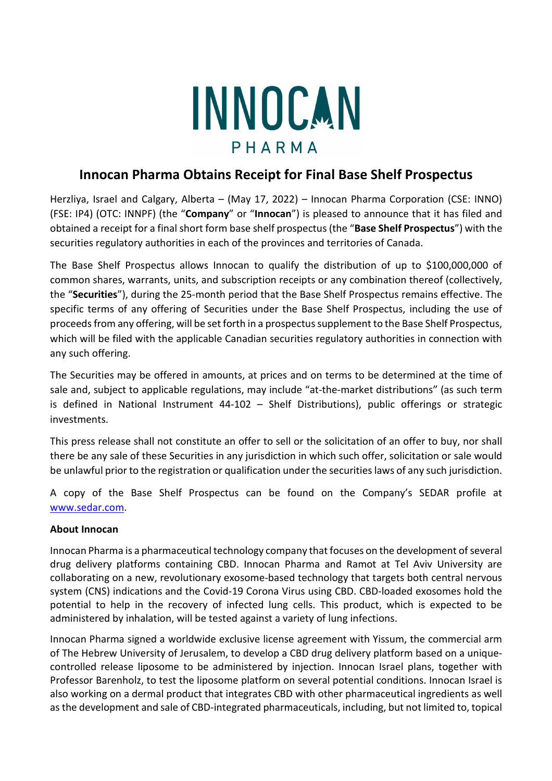## INNOCAN PHARMA

## **Innocan Pharma Obtains Receipt for Final Base Shelf Prospectus**

Herzliya, Israel and Calgary, Alberta – (May 17, 2022) – Innocan Pharma Corporation (CSE: INNO) (FSE: IP4) (OTC: INNPF) (the "**Company**" or "**Innocan**") is pleased to announce that it has filed and obtained a receipt for a final short form base shelf prospectus (the "**Base Shelf Prospectus**") with the securities regulatory authorities in each of the provinces and territories of Canada.

The Base Shelf Prospectus allows Innocan to qualify the distribution of up to \$100,000,000 of common shares, warrants, units, and subscription receipts or any combination thereof (collectively, the "**Securities**"), during the 25-month period that the Base Shelf Prospectus remains effective. The specific terms of any offering of Securities under the Base Shelf Prospectus, including the use of proceeds from any offering, will be set forth in a prospectus supplement to the Base Shelf Prospectus, which will be filed with the applicable Canadian securities regulatory authorities in connection with any such offering.

The Securities may be offered in amounts, at prices and on terms to be determined at the time of sale and, subject to applicable regulations, may include "at-the-market distributions" (as such term is defined in National Instrument 44-102 – Shelf Distributions), public offerings or strategic investments.

This press release shall not constitute an offer to sell or the solicitation of an offer to buy, nor shall there be any sale of these Securities in any jurisdiction in which such offer, solicitation or sale would be unlawful prior to the registration or qualification under the securities laws of any such jurisdiction.

A copy of the Base Shelf Prospectus can be found on the Company's SEDAR profile at www.sedar.com.

## **About Innocan**

Innocan Pharma is a pharmaceutical technology company that focuses on the development of several drug delivery platforms containing CBD. Innocan Pharma and Ramot at Tel Aviv University are collaborating on a new, revolutionary exosome-based technology that targets both central nervous system (CNS) indications and the Covid-19 Corona Virus using CBD. CBD-loaded exosomes hold the potential to help in the recovery of infected lung cells. This product, which is expected to be administered by inhalation, will be tested against a variety of lung infections.

Innocan Pharma signed a worldwide exclusive license agreement with Yissum, the commercial arm of The Hebrew University of Jerusalem, to develop a CBD drug delivery platform based on a uniquecontrolled release liposome to be administered by injection. Innocan Israel plans, together with Professor Barenholz, to test the liposome platform on several potential conditions. Innocan Israel is also working on a dermal product that integrates CBD with other pharmaceutical ingredients as well as the development and sale of CBD-integrated pharmaceuticals, including, but not limited to, topical